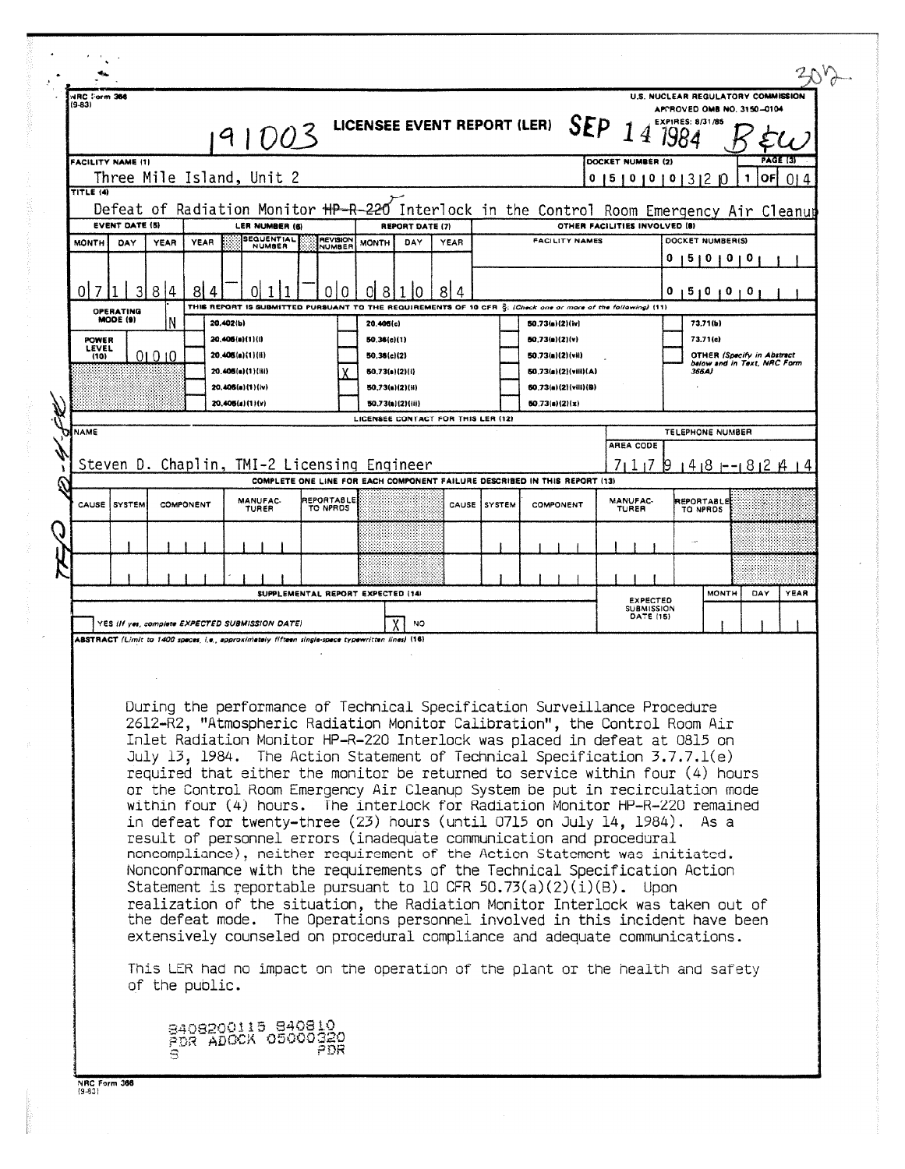| (9-83)                                                                                              | HRC ∵orm 366          |                   |                                                                                                                           |                                                                                                  |                           |                                                                                | 91003                                |  |                               |           |                                             | LICENSEE EVENT REPORT (LER)        |                  |                              |                                                                                                                                                                                                                                                                                                                                                                                                                                                                                                                                                                                                                                                                                                                                                                                                                                                                                                                                                                                                                                                                                                                                                                                                                                                                                                 |  | SEP $14$                 | U.S. NUCLEAR REGULATORY COMMISSION   | APPROVED OMB NO, 3150-0104<br>EXPIRES: 8/31/85 |                                                                  |   |                 |             |
|-----------------------------------------------------------------------------------------------------|-----------------------|-------------------|---------------------------------------------------------------------------------------------------------------------------|--------------------------------------------------------------------------------------------------|---------------------------|--------------------------------------------------------------------------------|--------------------------------------|--|-------------------------------|-----------|---------------------------------------------|------------------------------------|------------------|------------------------------|-------------------------------------------------------------------------------------------------------------------------------------------------------------------------------------------------------------------------------------------------------------------------------------------------------------------------------------------------------------------------------------------------------------------------------------------------------------------------------------------------------------------------------------------------------------------------------------------------------------------------------------------------------------------------------------------------------------------------------------------------------------------------------------------------------------------------------------------------------------------------------------------------------------------------------------------------------------------------------------------------------------------------------------------------------------------------------------------------------------------------------------------------------------------------------------------------------------------------------------------------------------------------------------------------|--|--------------------------|--------------------------------------|------------------------------------------------|------------------------------------------------------------------|---|-----------------|-------------|
|                                                                                                     |                       | FACILITY NAME (1) |                                                                                                                           |                                                                                                  |                           |                                                                                |                                      |  |                               |           |                                             |                                    |                  |                              |                                                                                                                                                                                                                                                                                                                                                                                                                                                                                                                                                                                                                                                                                                                                                                                                                                                                                                                                                                                                                                                                                                                                                                                                                                                                                                 |  |                          | DOCKET NUMBER (2)                    |                                                |                                                                  |   | <b>PAGE (3)</b> |             |
| TITLE (4)                                                                                           |                       |                   |                                                                                                                           | Three Mile Island, Unit 2                                                                        |                           |                                                                                |                                      |  |                               |           |                                             |                                    |                  |                              |                                                                                                                                                                                                                                                                                                                                                                                                                                                                                                                                                                                                                                                                                                                                                                                                                                                                                                                                                                                                                                                                                                                                                                                                                                                                                                 |  |                          | 5 0 0 0 3 2                          |                                                |                                                                  | 1 | OFI             | 014         |
|                                                                                                     |                       |                   | Defeat of Radiation Monitor HP-R-220 Interlock in the Control Room Emergency Air Cleanup<br>OTHER FACILITIES INVOLVED (8) |                                                                                                  |                           |                                                                                |                                      |  |                               |           |                                             |                                    |                  |                              |                                                                                                                                                                                                                                                                                                                                                                                                                                                                                                                                                                                                                                                                                                                                                                                                                                                                                                                                                                                                                                                                                                                                                                                                                                                                                                 |  |                          |                                      |                                                |                                                                  |   |                 |             |
| <b>EVENT DATE (5)</b><br>LER NUMBER (6)<br><b>SEQUENTIAL</b><br><b>MONTH</b><br><b>YEAR</b><br>YEAR |                       |                   |                                                                                                                           |                                                                                                  | <b>REVISION</b><br>NUMBER | <b>REPORT DATE (7)</b><br><b>FACILITY NAMES</b><br>DAY<br><b>MONTH</b><br>YEAR |                                      |  |                               |           |                                             |                                    | DOCKET NUMBER(S) |                              |                                                                                                                                                                                                                                                                                                                                                                                                                                                                                                                                                                                                                                                                                                                                                                                                                                                                                                                                                                                                                                                                                                                                                                                                                                                                                                 |  |                          |                                      |                                                |                                                                  |   |                 |             |
| DAY<br><b>NUMBER</b>                                                                                |                       |                   |                                                                                                                           |                                                                                                  |                           |                                                                                |                                      |  |                               |           |                                             |                                    | 0<br>51          | $\mathbf{0}$<br>$\mathbf{o}$ | o                                                                                                                                                                                                                                                                                                                                                                                                                                                                                                                                                                                                                                                                                                                                                                                                                                                                                                                                                                                                                                                                                                                                                                                                                                                                                               |  |                          |                                      |                                                |                                                                  |   |                 |             |
| 0                                                                                                   |                       |                   | 8<br>14                                                                                                                   | 81                                                                                               |                           |                                                                                |                                      |  | Ŋ<br>0                        | OI        | 8                                           | 81<br>4                            |                  |                              |                                                                                                                                                                                                                                                                                                                                                                                                                                                                                                                                                                                                                                                                                                                                                                                                                                                                                                                                                                                                                                                                                                                                                                                                                                                                                                 |  |                          |                                      | 0<br>$5 + 0$                                   | o                                                                | 0 |                 |             |
|                                                                                                     | OPERATING<br>MODE (9) |                   |                                                                                                                           |                                                                                                  | 20.402(b)                 |                                                                                | THIS REPORT IS SUBMITTED PURSUANT TO |  |                               |           |                                             |                                    |                  |                              | THE REQUIREMENTS OF 10 CFR S: (Check one or more of the following) (11)                                                                                                                                                                                                                                                                                                                                                                                                                                                                                                                                                                                                                                                                                                                                                                                                                                                                                                                                                                                                                                                                                                                                                                                                                         |  |                          |                                      |                                                |                                                                  |   |                 |             |
|                                                                                                     | <b>POWER</b>          |                   |                                                                                                                           |                                                                                                  |                           | 20,406(a)(1)(i)                                                                |                                      |  |                               | 20,406(c) | 50.36(c)(1)                                 |                                    |                  |                              | 50.73(a)(2)(iv)<br>50.73(a)(2)(v)                                                                                                                                                                                                                                                                                                                                                                                                                                                                                                                                                                                                                                                                                                                                                                                                                                                                                                                                                                                                                                                                                                                                                                                                                                                               |  |                          |                                      |                                                | 73,71(b)<br>73.71(c)                                             |   |                 |             |
|                                                                                                     | <b>LEVEL</b><br>(10)  |                   | 01010                                                                                                                     |                                                                                                  |                           | 20.406(a)(1)(i)                                                                |                                      |  |                               |           | 50,36(c)(2)                                 |                                    |                  |                              | 50.73(a)(2)(vii)                                                                                                                                                                                                                                                                                                                                                                                                                                                                                                                                                                                                                                                                                                                                                                                                                                                                                                                                                                                                                                                                                                                                                                                                                                                                                |  |                          |                                      |                                                | <b>OTHER (Specify in Abstract</b><br>below and in Text, NRC Form |   |                 |             |
|                                                                                                     |                       |                   |                                                                                                                           |                                                                                                  |                           | 20.406(a)(1)(iii)                                                              |                                      |  |                               |           | 50.73(a)(2)(i)                              |                                    |                  |                              | 50.73(a)(2)(viii)(A)                                                                                                                                                                                                                                                                                                                                                                                                                                                                                                                                                                                                                                                                                                                                                                                                                                                                                                                                                                                                                                                                                                                                                                                                                                                                            |  |                          |                                      |                                                | 366A)                                                            |   |                 |             |
|                                                                                                     |                       |                   |                                                                                                                           |                                                                                                  |                           | 20.406(a)(1)(iv)<br>20.405(a)(1)(v)                                            |                                      |  |                               |           | 50,73(a)(2)(ii)<br>50.73(a)(2)(iii)         |                                    |                  |                              | 50.73(a)(2)(vili)(B)<br>50.73(a)(2)(x)                                                                                                                                                                                                                                                                                                                                                                                                                                                                                                                                                                                                                                                                                                                                                                                                                                                                                                                                                                                                                                                                                                                                                                                                                                                          |  |                          |                                      |                                                |                                                                  |   |                 |             |
|                                                                                                     |                       |                   |                                                                                                                           |                                                                                                  |                           |                                                                                |                                      |  |                               |           |                                             | LICENSEE CONTACT FOR THIS LER (12) |                  |                              |                                                                                                                                                                                                                                                                                                                                                                                                                                                                                                                                                                                                                                                                                                                                                                                                                                                                                                                                                                                                                                                                                                                                                                                                                                                                                                 |  |                          |                                      |                                                |                                                                  |   |                 |             |
| <b>NAME</b>                                                                                         |                       |                   |                                                                                                                           |                                                                                                  |                           |                                                                                |                                      |  |                               |           |                                             |                                    |                  |                              |                                                                                                                                                                                                                                                                                                                                                                                                                                                                                                                                                                                                                                                                                                                                                                                                                                                                                                                                                                                                                                                                                                                                                                                                                                                                                                 |  | AREA CODE                |                                      | TELEPHONE NUMBER                               |                                                                  |   |                 |             |
|                                                                                                     |                       |                   |                                                                                                                           |                                                                                                  |                           |                                                                                |                                      |  |                               |           | Steven D. Chaplin, TMI-2 Licensing Engineer |                                    |                  |                              |                                                                                                                                                                                                                                                                                                                                                                                                                                                                                                                                                                                                                                                                                                                                                                                                                                                                                                                                                                                                                                                                                                                                                                                                                                                                                                 |  |                          | 711179                               |                                                | 1418 --1812 14 14                                                |   |                 |             |
|                                                                                                     |                       |                   |                                                                                                                           |                                                                                                  |                           |                                                                                |                                      |  |                               |           |                                             |                                    |                  |                              | COMPLETE ONE LINE FOR EACH COMPONENT FAILURE DESCRIBED IN THIS REPORT (13)                                                                                                                                                                                                                                                                                                                                                                                                                                                                                                                                                                                                                                                                                                                                                                                                                                                                                                                                                                                                                                                                                                                                                                                                                      |  |                          |                                      |                                                |                                                                  |   |                 |             |
| CAUSE                                                                                               |                       | SYSTEM            |                                                                                                                           | COMPONENT                                                                                        |                           | MANUFAC-<br><b>TURER</b>                                                       |                                      |  | <b>REPORTABLE</b><br>TO NPRDS |           |                                             | CAUSE                              | l sy stem        |                              | COMPONENT                                                                                                                                                                                                                                                                                                                                                                                                                                                                                                                                                                                                                                                                                                                                                                                                                                                                                                                                                                                                                                                                                                                                                                                                                                                                                       |  | <b>MANUFAC-</b><br>TUREA |                                      |                                                | REPORTABLE<br>TO NPROS                                           |   |                 |             |
|                                                                                                     |                       |                   |                                                                                                                           |                                                                                                  |                           |                                                                                |                                      |  |                               |           |                                             |                                    |                  |                              |                                                                                                                                                                                                                                                                                                                                                                                                                                                                                                                                                                                                                                                                                                                                                                                                                                                                                                                                                                                                                                                                                                                                                                                                                                                                                                 |  |                          |                                      |                                                |                                                                  |   |                 |             |
|                                                                                                     |                       |                   |                                                                                                                           |                                                                                                  |                           |                                                                                |                                      |  |                               |           |                                             |                                    |                  |                              |                                                                                                                                                                                                                                                                                                                                                                                                                                                                                                                                                                                                                                                                                                                                                                                                                                                                                                                                                                                                                                                                                                                                                                                                                                                                                                 |  |                          |                                      |                                                |                                                                  |   |                 |             |
|                                                                                                     |                       |                   |                                                                                                                           |                                                                                                  |                           |                                                                                |                                      |  |                               |           | SUPPLEMENTAL REPORT EXPECTED (14)           |                                    |                  |                              |                                                                                                                                                                                                                                                                                                                                                                                                                                                                                                                                                                                                                                                                                                                                                                                                                                                                                                                                                                                                                                                                                                                                                                                                                                                                                                 |  |                          | <b>EXPECTED</b><br><b>SUBMISSION</b> |                                                | MONTH                                                            |   | DAY             | <b>YEAR</b> |
|                                                                                                     |                       |                   |                                                                                                                           | YES (If yes, complete EXPECTED SUBMISSION DATE)                                                  |                           |                                                                                |                                      |  |                               |           |                                             |                                    |                  |                              |                                                                                                                                                                                                                                                                                                                                                                                                                                                                                                                                                                                                                                                                                                                                                                                                                                                                                                                                                                                                                                                                                                                                                                                                                                                                                                 |  |                          |                                      |                                                |                                                                  |   |                 |             |
|                                                                                                     |                       |                   |                                                                                                                           | ABSTRACT (Limit to 1400 spaces, i.e., approximately fifteen single-space typewritten lines) (16) |                           |                                                                                |                                      |  |                               |           | <b>NO</b>                                   |                                    |                  |                              |                                                                                                                                                                                                                                                                                                                                                                                                                                                                                                                                                                                                                                                                                                                                                                                                                                                                                                                                                                                                                                                                                                                                                                                                                                                                                                 |  |                          | DATE (15)                            |                                                |                                                                  |   |                 |             |
|                                                                                                     |                       |                   |                                                                                                                           | of the public.                                                                                   |                           |                                                                                |                                      |  |                               |           |                                             |                                    |                  |                              | During the performance of Technical Specification Surveillance Procedure<br>2612-R2, "Atmospheric Radiation Monitor Calibration", the Control Room Air<br>Inlet Radiation Monitor HP-R-220 Interlock was placed in defeat at 0815 on<br>July 13, 1984. The Action Statement of Technical Specification 3.7.7.1(e)<br>required that either the monitor be returned to service within four (4) hours<br>or the Control Room Emergency Air Cleanup System be put in recirculation mode<br>within four (4) hours. The interlock for Radiation Monitor HP-R-220 remained<br>in defeat for twenty-three (23) hours (until 0715 on July 14, 1984). As a<br>result of personnel errors (inadequate communication and procedural<br>noncompliance), neither requirement of the Action Statement was initiated.<br>Nonconformance with the requirements of the Technical Specification Action<br>Statement is reportable pursuant to 10 CFR $50.73(a)(2)(i)(B)$ . Upon<br>realization of the situation, the Radiation Monitor Interlock was taken out of<br>the defeat mode. The Operations personnel involved in this incident have been<br>extensively counseled on procedural compliance and adequate communications.<br>This LER had no impact on the operation of the plant or the health and safety |  |                          |                                      |                                                |                                                                  |   |                 |             |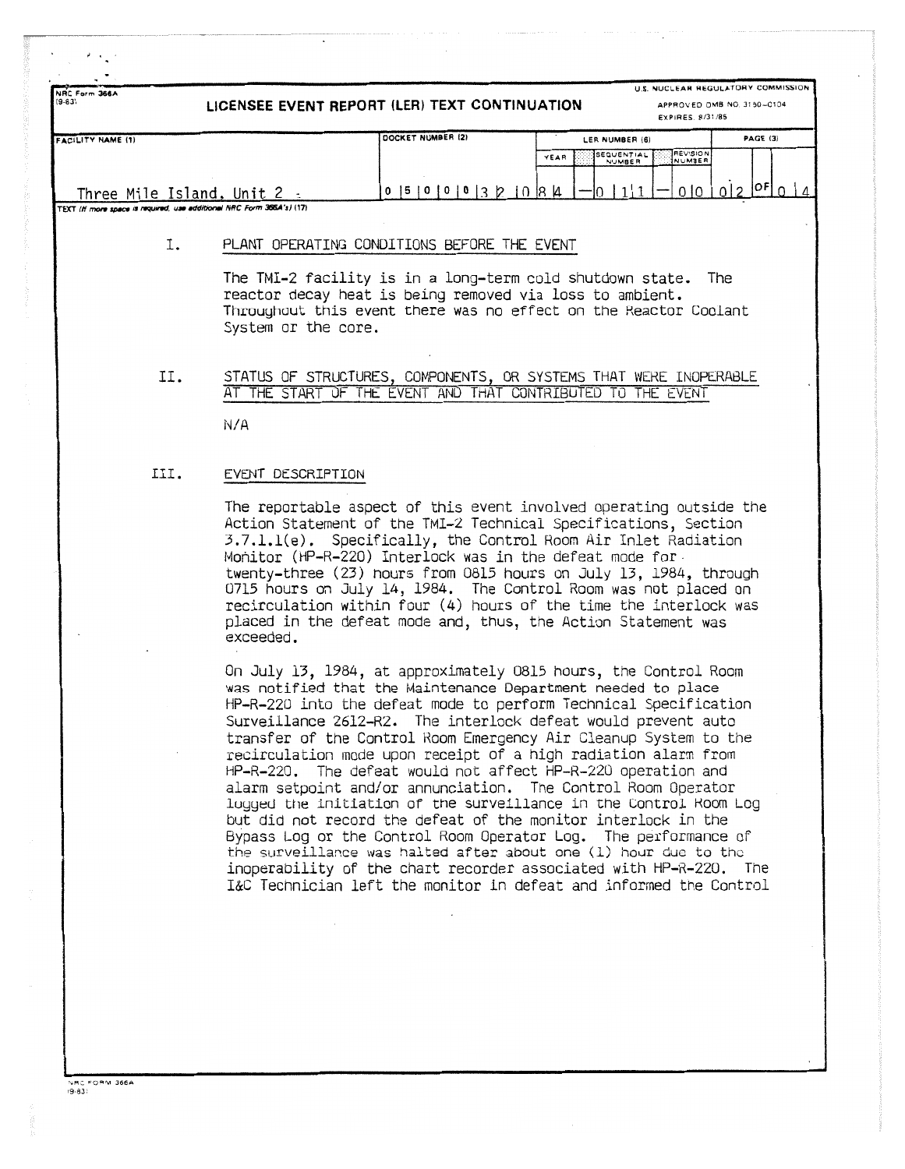**LICENSEE EVENT REPORT (LER) TEXT CONTINUATION** 

**U.S. NUCLEAR REGULATORY COMMISSION APPROVED OMB NO. 3150-C104**

|                                                                      |                      | EXPIRES 8/31/05                                                   |          |
|----------------------------------------------------------------------|----------------------|-------------------------------------------------------------------|----------|
| FACILITY NAME (1)                                                    | DOCKET NUMBER (2)    | LER NUMBER (6)                                                    | PAGE (3) |
|                                                                      |                      | <b>FEVISION</b><br>SEQUENTIAL<br>YEAR<br>INUMBER<br><b>NUMBER</b> |          |
|                                                                      |                      |                                                                   |          |
| Three Mile Island, Unit                                              | 151010<br>$^{\circ}$ | lл<br> 8                                                          | IOF!     |
| TEXT (H more space is required, use additional NRC Form 366A's) (17) |                      |                                                                   |          |

## I. PLANT OPERATING CONDITIONS BEFORE THE EVENT

The TMI-2 facility is in a long-term cold shutdown state. The reactor decay heat is being removed via loss to ambient . Throughout this event there was no effect on the Reactor Coolant System or the core .

### II. STATUS OF STRUCTURES, COMPONENTS, OR SYSTEMS THAT WERE INOPERABLE AT THE START OF THE EVENT AND THAT CONTRIBUTED TO THE EVENT

N/A

NRC Form 366 A

#### III. EVENT DESCRIPTION

The reportable aspect of this event involved operating outside the Action Statement of the TMI-2 Technical Specifications, Section 3 .7 .1 .1(e) . Specifically, the Control Room Air Inlet Radiation Monitor (HP-R-220) Interlock was in the defeat mode for twenty-three  $(23)$  nours from 0815 hours on July 13, 1984, through 0715 hours on July 14, 1984. The Control Room was not placed on recirculation within four (4) hours of the time the interlock was placed in the defeat mode and, thus, the Action Statement was exceeded .

On July 13, 1984, at approximately 0815 hours, the Control Room was notified that the Maintenance Department needed to place HP-R-220 into the defeat mode to perform Technical Specification Surveillance 2612-R2. The interlock defeat would prevent auto transfer of the Control Room Emergency Air Cleanup System to the recirculation mode upon receipt of a high radiation alarm from HP-R-220. The defeat would not affect HP-R-220 operation and alarm setpoint and/or annunciation. The Control Room Operator lugged the initiation of the surveillance in the Control Room Log but did not record the defeat of the monitor interlock in the Bypass Log or the Control Room Operator Log. The performance of the surveillance was halted after about one (1) hour due to the inoperability of the chart recorder associated with HP-R-220 . The I&C Technician left the monitor in defeat and informed the Control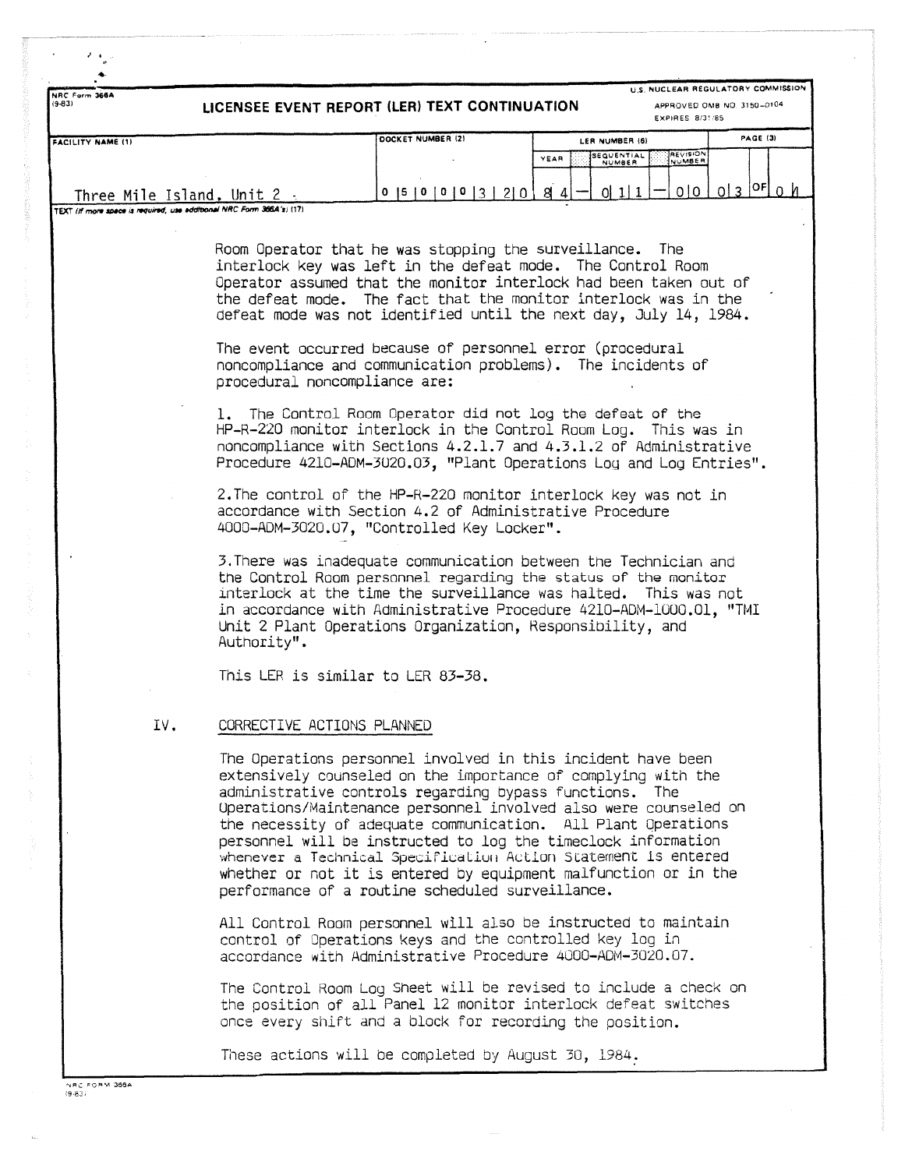| NRC Form 366A<br>$(9 - 83)$                                           | LICENSEE EVENT REPORT (LER) TEXT CONTINUATION                                                                                                                                                                                                                                                                                    | U.S. NUCLEAR REGULATORY COMMISSION<br>APPROVED OMB NO. 3150-0104<br><b>EXPIRES 8/31/85</b>                                                                                                                                                                                                                                                                                                                                                                                                                                                                                                                                                                                                                                                                                                                                                                                                                                                                             |                 |
|-----------------------------------------------------------------------|----------------------------------------------------------------------------------------------------------------------------------------------------------------------------------------------------------------------------------------------------------------------------------------------------------------------------------|------------------------------------------------------------------------------------------------------------------------------------------------------------------------------------------------------------------------------------------------------------------------------------------------------------------------------------------------------------------------------------------------------------------------------------------------------------------------------------------------------------------------------------------------------------------------------------------------------------------------------------------------------------------------------------------------------------------------------------------------------------------------------------------------------------------------------------------------------------------------------------------------------------------------------------------------------------------------|-----------------|
| <b>FACILITY NAME (1)</b>                                              | DOCKET NUMBER (2)                                                                                                                                                                                                                                                                                                                | LER NUMBER (6)                                                                                                                                                                                                                                                                                                                                                                                                                                                                                                                                                                                                                                                                                                                                                                                                                                                                                                                                                         | PAGE (3)        |
|                                                                       |                                                                                                                                                                                                                                                                                                                                  | <b>REVISION</b><br>SEQUENTIAL<br>YEAR<br>NUMBER                                                                                                                                                                                                                                                                                                                                                                                                                                                                                                                                                                                                                                                                                                                                                                                                                                                                                                                        |                 |
| Three Mile Island, Unit 2.                                            | 0  5  0  0  0  3  2  0  8  4                                                                                                                                                                                                                                                                                                     | 0 0 <br>0111                                                                                                                                                                                                                                                                                                                                                                                                                                                                                                                                                                                                                                                                                                                                                                                                                                                                                                                                                           | $0 3 ^{OF}$ 0 h |
| TEXT (If more space is required, use additional NRC Form 366A's) (17) |                                                                                                                                                                                                                                                                                                                                  |                                                                                                                                                                                                                                                                                                                                                                                                                                                                                                                                                                                                                                                                                                                                                                                                                                                                                                                                                                        |                 |
| procedural noncompliance are:<br>Authority".                          | Room Operator that he was stopping the surveillance. The<br>The event occurred because of personnel error (procedural<br>accordance with Section 4.2 of Administrative Procedure<br>4000-ADM-3020.07, "Controlled Key Locker".<br>Unit 2 Plant Operations Organization, Responsibility, and<br>This LER is similar to LER 83-38. | interlock key was left in the defeat mode. The Control Room<br>Operator assumed that the monitor interlock had been taken out of<br>the defeat mode. The fact that the monitor interlock was in the<br>defeat mode was not identified until the next day, July 14, 1984.<br>noncompliance and communication problems). The incidents of<br>1. The Control Room Operator did not log the defeat of the<br>HP-R-220 monitor interlock in the Control Room Log. This was in<br>noncompliance with Sections 4.2.1.7 and 4.3.1.2 of Administrative<br>Procedure 4210-ADM-3020.03, "Plant Operations Log and Log Entries".<br>2. The control of the HP-R-220 monitor interlock key was not in<br>3. There was inadequate communication between the Technician and<br>the Control Room personnel regarding the status of the monitor<br>interlock at the time the surveillance was halted. This was not<br>in accordance with Administrative Procedure 4210-ADM-1000.01, "TMI |                 |
| CORRECTIVE ACTIONS PLANNED<br>IV.                                     |                                                                                                                                                                                                                                                                                                                                  |                                                                                                                                                                                                                                                                                                                                                                                                                                                                                                                                                                                                                                                                                                                                                                                                                                                                                                                                                                        |                 |
|                                                                       | administrative controls regarding bypass functions. The<br>performance of a routine scheduled surveillance.                                                                                                                                                                                                                      | The Operations personnel involved in this incident have been<br>extensively counseled on the importance of complying with the<br>Operations/Maintenance personnel involved also were counseled on<br>the necessity of adequate communication. All Plant Operations<br>personnel will be instructed to log the timeclock information<br>whenever a Technical Specification Action Statement is entered<br>whether or not it is entered by equipment malfunction or in the                                                                                                                                                                                                                                                                                                                                                                                                                                                                                               |                 |
|                                                                       | control of Operations keys and the controlled key log in                                                                                                                                                                                                                                                                         | All Control Room personnel will also be instructed to maintain<br>accordance with Administrative Procedure 4000-ADM-3020.07.                                                                                                                                                                                                                                                                                                                                                                                                                                                                                                                                                                                                                                                                                                                                                                                                                                           |                 |
|                                                                       |                                                                                                                                                                                                                                                                                                                                  | The Control Room Log Sheet will be revised to include a check on<br>the position of all Panel 12 monitor interlock defeat switches<br>once every shift and a block for recording the position.                                                                                                                                                                                                                                                                                                                                                                                                                                                                                                                                                                                                                                                                                                                                                                         |                 |
|                                                                       |                                                                                                                                                                                                                                                                                                                                  |                                                                                                                                                                                                                                                                                                                                                                                                                                                                                                                                                                                                                                                                                                                                                                                                                                                                                                                                                                        |                 |

 $\ddot{\phantom{0}}$ 

 $\lambda$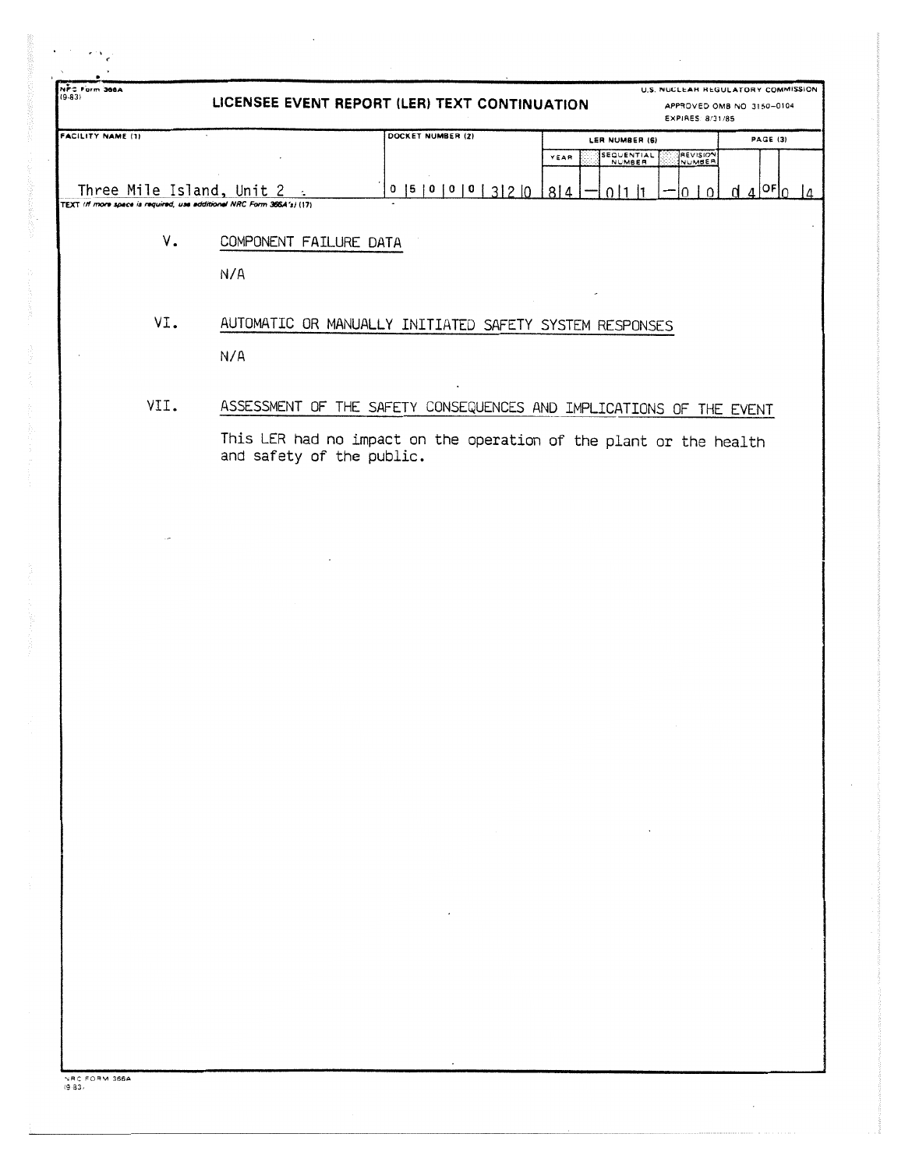| NFS Form 366A                                                                                      |                               | LICENSEE EVENT REPORT (LER) TEXT CONTINUATION                                                                                             | EXPIRES: 8/31/85                                                  | U.S. NUCLEAN REGULATORY COMMISSION<br>APPROVED OMB NO 3150-0104 |
|----------------------------------------------------------------------------------------------------|-------------------------------|-------------------------------------------------------------------------------------------------------------------------------------------|-------------------------------------------------------------------|-----------------------------------------------------------------|
| <b>FACILITY NAME (1)</b>                                                                           |                               | DOCKET NUMBER (2)                                                                                                                         | LER NUMBER (6)<br><b>REVISION</b><br>SEQUENTIAL<br>NUMBER<br>YEAR | <b>PAGE (3)</b>                                                 |
| Three Mile Island, Unit 2<br>TEXT (If more space is required, use additional NRC Form 366A's) (17) |                               | 0   5   0   0   0   3   2   0                                                                                                             | 814<br>0 1 1<br>0   0                                             | $d$ 4 <sup>or</sup> $\circ$<br>$\frac{14}{2}$                   |
| V.                                                                                                 | COMPONENT FAILURE DATA<br>N/A |                                                                                                                                           |                                                                   |                                                                 |
| VI.                                                                                                | N/A                           | AUTOMATIC OR MANUALLY INITIATED SAFETY SYSTEM RESPONSES                                                                                   |                                                                   |                                                                 |
| VII.                                                                                               | and safety of the public.     | ASSESSMENT OF THE SAFETY CONSEQUENCES AND IMPLICATIONS OF THE EVENT<br>This LER had no impact on the operation of the plant or the health |                                                                   |                                                                 |
|                                                                                                    |                               |                                                                                                                                           |                                                                   |                                                                 |
|                                                                                                    |                               |                                                                                                                                           |                                                                   |                                                                 |
|                                                                                                    |                               |                                                                                                                                           |                                                                   |                                                                 |
|                                                                                                    |                               |                                                                                                                                           | $\cdot$                                                           |                                                                 |
|                                                                                                    |                               |                                                                                                                                           |                                                                   |                                                                 |
|                                                                                                    |                               |                                                                                                                                           |                                                                   |                                                                 |
| NRC FORM 366A                                                                                      |                               |                                                                                                                                           |                                                                   |                                                                 |